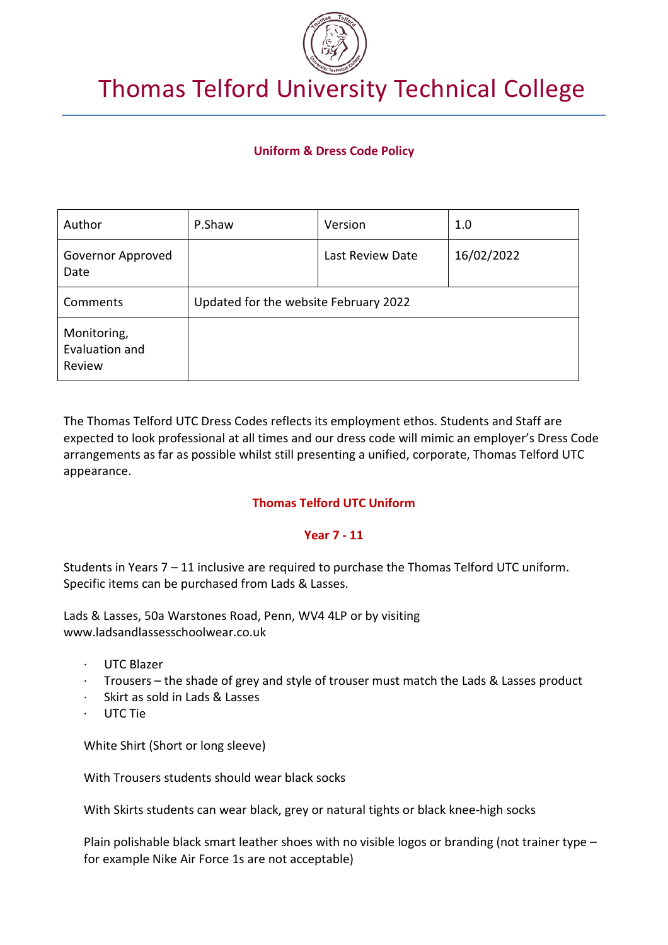

# Thomas Telford University Technical College

# **Uniform & Dress Code Policy**

| Author                                  | P.Shaw                                | Version          | 1.0        |
|-----------------------------------------|---------------------------------------|------------------|------------|
| Governor Approved<br>Date               |                                       | Last Review Date | 16/02/2022 |
| Comments                                | Updated for the website February 2022 |                  |            |
| Monitoring,<br>Evaluation and<br>Review |                                       |                  |            |

The Thomas Telford UTC Dress Codes reflects its employment ethos. Students and Staff are expected to look professional at all times and our dress code will mimic an employer's Dress Code arrangements as far as possible whilst still presenting a unified, corporate, Thomas Telford UTC appearance.

## **Thomas Telford UTC Uniform**

## **Year 7 - 11**

Students in Years 7 – 11 inclusive are required to purchase the Thomas Telford UTC uniform. Specific items can be purchased from Lads & Lasses.

Lads & Lasses, 50a Warstones Road, Penn, WV4 4LP or by visiting www.ladsandlassesschoolwear.co.uk

- · UTC Blazer
- · Trousers the shade of grey and style of trouser must match the Lads & Lasses product
- Skirt as sold in Lads & Lasses
- · UTC Tie

White Shirt (Short or long sleeve)

With Trousers students should wear black socks

With Skirts students can wear black, grey or natural tights or black knee-high socks

Plain polishable black smart leather shoes with no visible logos or branding (not trainer type – for example Nike Air Force 1s are not acceptable)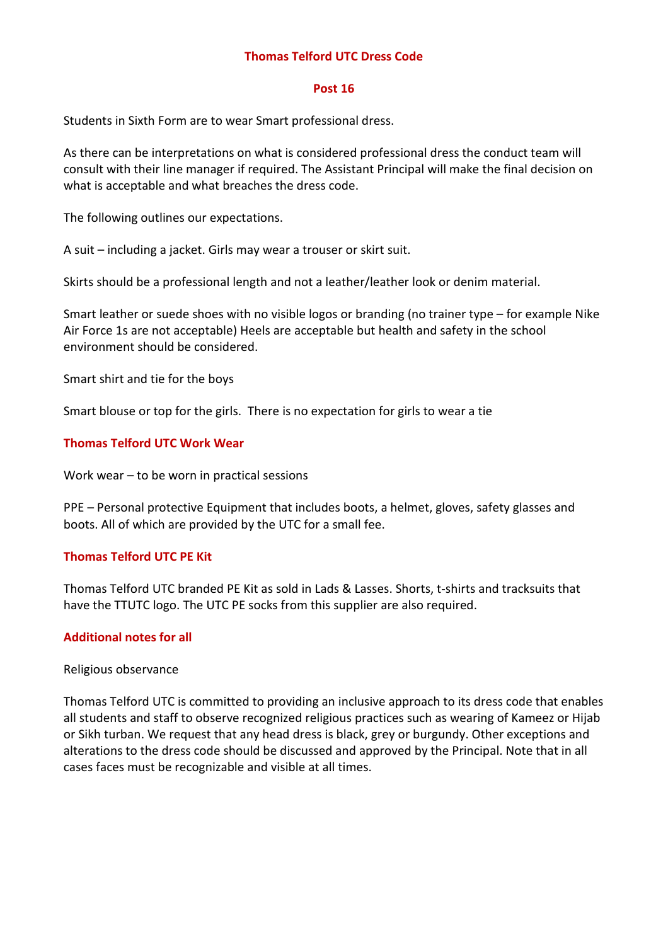## **Thomas Telford UTC Dress Code**

#### **Post 16**

Students in Sixth Form are to wear Smart professional dress.

As there can be interpretations on what is considered professional dress the conduct team will consult with their line manager if required. The Assistant Principal will make the final decision on what is acceptable and what breaches the dress code.

The following outlines our expectations.

A suit – including a jacket. Girls may wear a trouser or skirt suit.

Skirts should be a professional length and not a leather/leather look or denim material.

Smart leather or suede shoes with no visible logos or branding (no trainer type – for example Nike Air Force 1s are not acceptable) Heels are acceptable but health and safety in the school environment should be considered.

Smart shirt and tie for the boys

Smart blouse or top for the girls. There is no expectation for girls to wear a tie

## **Thomas Telford UTC Work Wear**

Work wear – to be worn in practical sessions

PPE – Personal protective Equipment that includes boots, a helmet, gloves, safety glasses and boots. All of which are provided by the UTC for a small fee.

## **Thomas Telford UTC PE Kit**

Thomas Telford UTC branded PE Kit as sold in Lads & Lasses. Shorts, t-shirts and tracksuits that have the TTUTC logo. The UTC PE socks from this supplier are also required.

## **Additional notes for all**

## Religious observance

Thomas Telford UTC is committed to providing an inclusive approach to its dress code that enables all students and staff to observe recognized religious practices such as wearing of Kameez or Hijab or Sikh turban. We request that any head dress is black, grey or burgundy. Other exceptions and alterations to the dress code should be discussed and approved by the Principal. Note that in all cases faces must be recognizable and visible at all times.